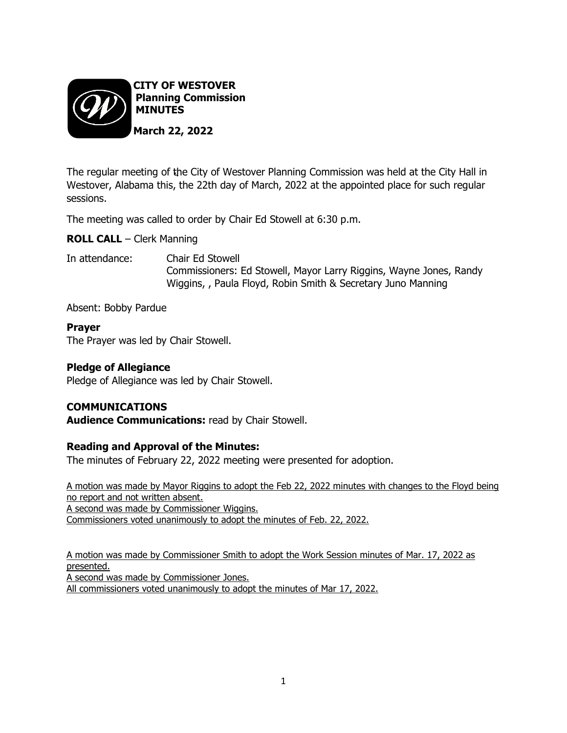

The regular meeting of the City of Westover Planning Commission was held at the City Hall in Westover, Alabama this, the 22th day of March, 2022 at the appointed place for such regular sessions.

The meeting was called to order by Chair Ed Stowell at 6:30 p.m.

**ROLL CALL** – Clerk Manning

In attendance: Chair Ed Stowell Commissioners: Ed Stowell, Mayor Larry Riggins, Wayne Jones, Randy Wiggins, , Paula Floyd, Robin Smith & Secretary Juno Manning

Absent: Bobby Pardue

# **Prayer**

The Prayer was led by Chair Stowell.

# **Pledge of Allegiance**

Pledge of Allegiance was led by Chair Stowell.

# **COMMUNICATIONS**

**Audience Communications:** read by Chair Stowell.

# **Reading and Approval of the Minutes:**

The minutes of February 22, 2022 meeting were presented for adoption.

A motion was made by Mayor Riggins to adopt the Feb 22, 2022 minutes with changes to the Floyd being no report and not written absent. A second was made by Commissioner Wiggins. Commissioners voted unanimously to adopt the minutes of Feb. 22, 2022.

A motion was made by Commissioner Smith to adopt the Work Session minutes of Mar. 17, 2022 as presented. A second was made by Commissioner Jones.

All commissioners voted unanimously to adopt the minutes of Mar 17, 2022.